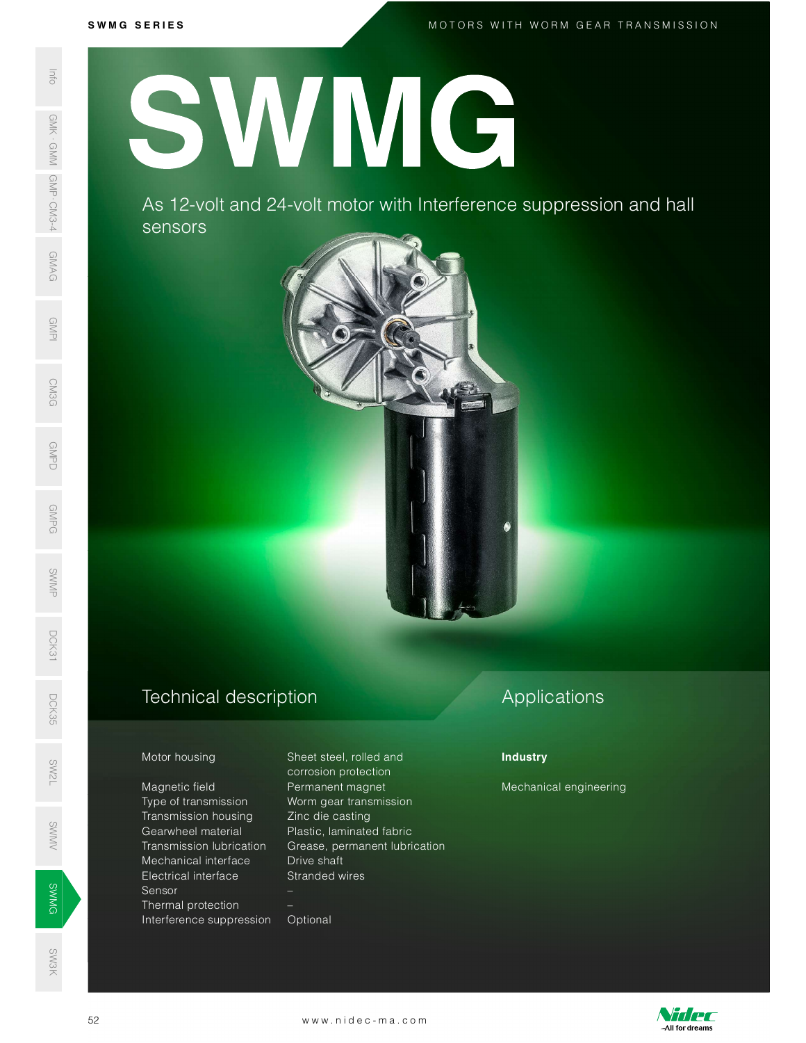M O T O R S W I T H W O R M G E A R T R A N S M I S S I O N

S W M G S E R I E S SWAS 12-VC<br>
SERIES AS 12-VC<br>
SERIES AS 12-VC<br>
SERIES AS 12-VC<br>
SERIES AS 12-VC<br>
SERIES AS 12-VC<br>
Motor housing<br>
Magnetic field<br>
Transmission<br>
Transmission<br>
Transmission<br>
Mechanical interference s<br>
Series Transmission<br>
Tran SWMG

As 12 -volt and 24 -volt motor with Interference suppression and hall sensors



## Technical description D<sub>CK</sub><br>35<br>55

### Motor housing Sheet steel, rolled and

Magnetic field **Permanent magnet** Type of transmission Worm gear transmission Transmission housing Zinc die casting Mechanical interface Drive shaft Electrical interface Stranded wires Sensor – Sensor –<br>
SWMG – Sensor –<br>
Thermal protection – Interference suppression Optional Mechanical interface Drive shaft<br>
Electrical interface Stranded wires<br>
Sensor<br>
Thermal protection –<br>
Interference suppression Optional<br>
52 www.nidec-ma.com SW<br>No. 1986<br>No. 1986 Mansimission nousin<br>
Searwheel material<br>
Transmission lubrica

 corrosion protection Plastic, laminated fabric Transmission lubrication Grease, permanent lubrication

# Applications

## **Industry**

Mechanical engineering



SW3K